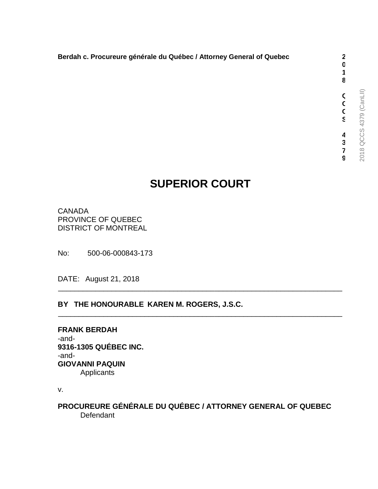**0 1 8**

**Q C C S**

### **Berdah c. Procureure générale du Québec / Attorney General of Quebec 2**

# **SUPERIOR COURT**

\_\_\_\_\_\_\_\_\_\_\_\_\_\_\_\_\_\_\_\_\_\_\_\_\_\_\_\_\_\_\_\_\_\_\_\_\_\_\_\_\_\_\_\_\_\_\_\_\_\_\_\_\_\_\_\_\_\_\_\_\_\_\_\_\_\_\_\_\_

\_\_\_\_\_\_\_\_\_\_\_\_\_\_\_\_\_\_\_\_\_\_\_\_\_\_\_\_\_\_\_\_\_\_\_\_\_\_\_\_\_\_\_\_\_\_\_\_\_\_\_\_\_\_\_\_\_\_\_\_\_\_\_\_\_\_\_\_\_

CANADA PROVINCE OF QUEBEC DISTRICT OF MONTREAL

No: 500-06-000843-173

DATE: August 21, 2018

#### **BY THE HONOURABLE KAREN M. ROGERS, J.S.C.**

**FRANK BERDAH** -and-**9316-1305 QUÉBEC INC.** -and-**GIOVANNI PAQUIN** Applicants

v.

**PROCUREURE GÉNÉRALE DU QUÉBEC / ATTORNEY GENERAL OF QUEBEC Defendant**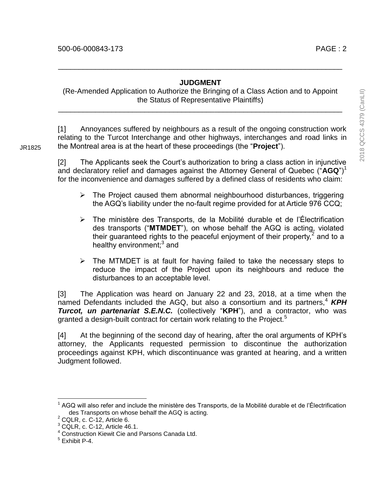#### **JUDGMENT**

\_\_\_\_\_\_\_\_\_\_\_\_\_\_\_\_\_\_\_\_\_\_\_\_\_\_\_\_\_\_\_\_\_\_\_\_\_\_\_\_\_\_\_\_\_\_\_\_\_\_\_\_\_\_\_\_\_\_\_\_\_\_\_\_\_\_\_\_\_

(Re-Amended Application to Authorize the Bringing of a Class Action and to Appoint the Status of Representative Plaintiffs)

\_\_\_\_\_\_\_\_\_\_\_\_\_\_\_\_\_\_\_\_\_\_\_\_\_\_\_\_\_\_\_\_\_\_\_\_\_\_\_\_\_\_\_\_\_\_\_\_\_\_\_\_\_\_\_\_\_\_\_\_\_\_\_\_\_\_\_\_\_

[1] Annoyances suffered by neighbours as a result of the ongoing construction work relating to the Turcot Interchange and other highways, interchanges and road links in the Montreal area is at the heart of these proceedings (the "**Project**").

[2] The Applicants seek the Court's authorization to bring a class action in injunctive and declaratory relief and damages against the Attorney General of Quebec ("**AGQ**")<sup>1</sup> for the inconvenience and damages suffered by a defined class of residents who claim:

- $\triangleright$  The Project caused them abnormal neighbourhood disturbances, triggering the AGQ's liability under the no-fault regime provided for at Article 976 CCQ;
- The ministère des Transports, de la Mobilité durable et de l'Électrification des transports ("**MTMDET**"), on whose behalf the AGQ is acting, violated their guaranteed rights to the peaceful enjoyment of their property, $2$  and to a healthy environment;<sup>3</sup> and
- $\triangleright$  The MTMDET is at fault for having failed to take the necessary steps to reduce the impact of the Project upon its neighbours and reduce the disturbances to an acceptable level.

[3] The Application was heard on January 22 and 23, 2018, at a time when the named Defendants included the AGQ, but also a consortium and its partners,<sup>4</sup> **KPH** *Turcot, un partenariat S.E.N.C.* (collectively "**KPH**"), and a contractor, who was granted a design-built contract for certain work relating to the Project.<sup>5</sup>

[4] At the beginning of the second day of hearing, after the oral arguments of KPH's attorney, the Applicants requested permission to discontinue the authorization proceedings against KPH, which discontinuance was granted at hearing, and a written Judgment followed.

 $\overline{a}$ 

JR1825

<sup>&</sup>lt;sup>1</sup> AGQ will also refer and include the ministère des Transports, de la Mobilité durable et de l'Électrification des Transports on whose behalf the AGQ is acting.

<sup>2</sup> CQLR, c. C-12, Article 6.

 $3$  CQLR, c. C-12, Article 46.1.

<sup>4</sup> Construction Kiewit Cie and Parsons Canada Ltd.

<sup>5</sup> Exhibit P-4.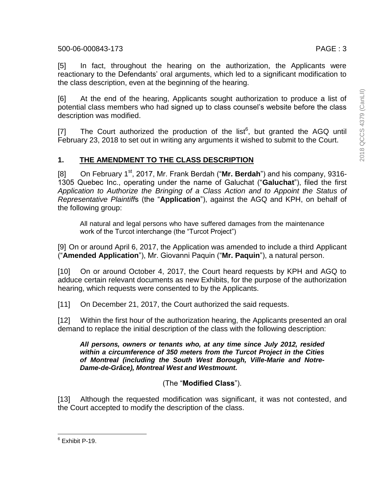[6] At the end of the hearing, Applicants sought authorization to produce a list of potential class members who had signed up to class counsel's website before the class description was modified.

[7] The Court authorized the production of the list<sup>6</sup>, but granted the AGQ until February 23, 2018 to set out in writing any arguments it wished to submit to the Court.

# **1. THE AMENDMENT TO THE CLASS DESCRIPTION**

[8] On February 1<sup>st</sup>, 2017, Mr. Frank Berdah ("Mr. Berdah") and his company, 9316-1305 Quebec Inc., operating under the name of Galuchat ("**Galuchat**"), filed the first *Application to Authorize the Bringing of a Class Action and to Appoint the Status of Representative Plaintiff*s (the "**Application**"), against the AGQ and KPH, on behalf of the following group:

All natural and legal persons who have suffered damages from the maintenance work of the Turcot interchange (the "Turcot Project")

[9] On or around April 6, 2017, the Application was amended to include a third Applicant ("**Amended Application**"), Mr. Giovanni Paquin ("**Mr. Paquin**"), a natural person.

[10] On or around October 4, 2017, the Court heard requests by KPH and AGQ to adduce certain relevant documents as new Exhibits, for the purpose of the authorization hearing, which requests were consented to by the Applicants.

[11] On December 21, 2017, the Court authorized the said requests.

[12] Within the first hour of the authorization hearing, the Applicants presented an oral demand to replace the initial description of the class with the following description:

#### *All persons, owners or tenants who, at any time since July 2012, resided within a circumference of 350 meters from the Turcot Project in the Cities of Montreal (including the South West Borough, Ville-Marie and Notre-Dame-de-Grâce), Montreal West and Westmount.*

(The "**Modified Class**").

[13] Although the requested modification was significant, it was not contested, and the Court accepted to modify the description of the class.

 6 Exhibit P-19.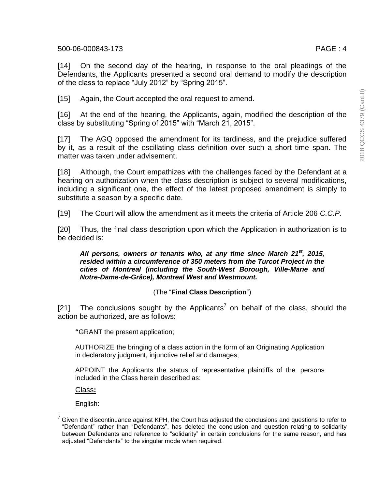[14] On the second day of the hearing, in response to the oral pleadings of the Defendants, the Applicants presented a second oral demand to modify the description of the class to replace "July 2012" by "Spring 2015".

[15] Again, the Court accepted the oral request to amend.

[16] At the end of the hearing, the Applicants, again, modified the description of the class by substituting "Spring of 2015" with "March 21, 2015".

[17] The AGQ opposed the amendment for its tardiness, and the prejudice suffered by it, as a result of the oscillating class definition over such a short time span. The matter was taken under advisement.

[18] Although, the Court empathizes with the challenges faced by the Defendant at a hearing on authorization when the class description is subject to several modifications, including a significant one, the effect of the latest proposed amendment is simply to substitute a season by a specific date.

[19] The Court will allow the amendment as it meets the criteria of Article 206 *C.C.P.*

[20] Thus, the final class description upon which the Application in authorization is to be decided is:

*All persons, owners or tenants who, at any time since March 21st, 2015, resided within a circumference of 350 meters from the Turcot Project in the cities of Montreal (including the South-West Borough, Ville-Marie and Notre-Dame-de-Grâce), Montreal West and Westmount.*

# (The "**Final Class Description**")

[21] The conclusions sought by the Applicants<sup>7</sup> on behalf of the class, should the action be authorized, are as follows:

**"**GRANT the present application;

AUTHORIZE the bringing of a class action in the form of an Originating Application in declaratory judgment, injunctive relief and damages;

APPOINT the Applicants the status of representative plaintiffs of the persons included in the Class herein described as:

Class**:**

English:

l

Given the discontinuance against KPH, the Court has adjusted the conclusions and questions to refer to "Defendant" rather than "Defendants", has deleted the conclusion and question relating to solidarity between Defendants and reference to "solidarity" in certain conclusions for the same reason, and has adjusted "Defendants" to the singular mode when required.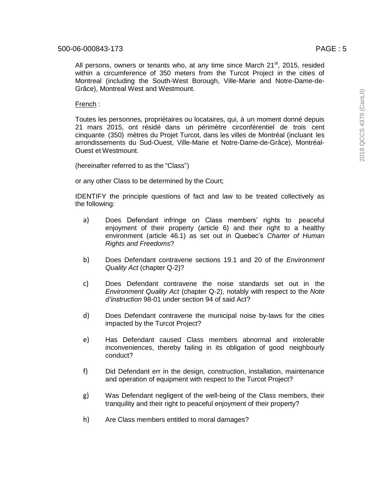All persons, owners or tenants who, at any time since March  $21<sup>st</sup>$ , 2015, resided within a circumference of 350 meters from the Turcot Project in the cities of Montreal (including the South-West Borough, Ville-Marie and Notre-Dame-de-Grâce), Montreal West and Westmount.

#### French :

Toutes les personnes, propriétaires ou locataires, qui, à un moment donné depuis 21 mars 2015, ont résidé dans un périmètre circonférentiel de trois cent cinquante (350) mètres du Projet Turcot, dans les villes de Montréal (incluant les arrondissements du Sud-Ouest, Ville-Marie et Notre-Dame-de-Grâce), Montréal-Ouest et Westmount.

(hereinafter referred to as the "Class")

or any other Class to be determined by the Court;

IDENTIFY the principle questions of fact and law to be treated collectively as the following:

- a) Does Defendant infringe on Class members' rights to peaceful enjoyment of their property (article 6) and their right to a healthy environment (article 46.1) as set out in Quebec's *Charter of Human Rights and Freedoms*?
- b) Does Defendant contravene sections 19.1 and 20 of the *Environment Quality Act* (chapter Q-2)?
- c) Does Defendant contravene the noise standards set out in the *Environment Quality Act* (chapter Q-2), notably with respect to the *Note d'instruction* 98-01 under section 94 of said Act?
- d) Does Defendant contravene the municipal noise by-laws for the cities impacted by the Turcot Project?
- e) Has Defendant caused Class members abnormal and intolerable inconveniences, thereby failing in its obligation of good neighbourly conduct?
- f) Did Defendant err in the design, construction, installation, maintenance and operation of equipment with respect to the Turcot Project?
- g) Was Defendant negligent of the well-being of the Class members, their tranquility and their right to peaceful enjoyment of their property?
- h) Are Class members entitled to moral damages?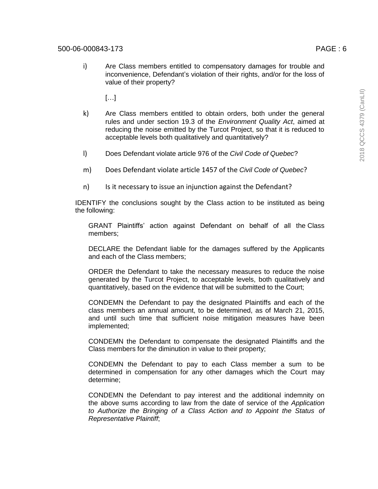i) Are Class members entitled to compensatory damages for trouble and inconvenience, Defendant's violation of their rights, and/or for the loss of value of their property?

 $[...]$ 

- k) Are Class members entitled to obtain orders, both under the general rules and under section 19.3 of the *Environment Quality Act*, aimed at reducing the noise emitted by the Turcot Project, so that it is reduced to acceptable levels both qualitatively and quantitatively?
- l) Does Defendant violate article 976 of the *Civil Code of Quebec*?
- m) Does Defendant violate article 1457 of the *Civil Code of Quebec*?
- n) Is it necessary to issue an injunction against the Defendant?

IDENTIFY the conclusions sought by the Class action to be instituted as being the following:

GRANT Plaintiffs' action against Defendant on behalf of all the Class members;

DECLARE the Defendant liable for the damages suffered by the Applicants and each of the Class members;

ORDER the Defendant to take the necessary measures to reduce the noise generated by the Turcot Project, to acceptable levels, both qualitatively and quantitatively, based on the evidence that will be submitted to the Court;

CONDEMN the Defendant to pay the designated Plaintiffs and each of the class members an annual amount, to be determined, as of March 21, 2015, and until such time that sufficient noise mitigation measures have been implemented;

CONDEMN the Defendant to compensate the designated Plaintiffs and the Class members for the diminution in value to their property;

CONDEMN the Defendant to pay to each Class member a sum to be determined in compensation for any other damages which the Court may determine;

CONDEMN the Defendant to pay interest and the additional indemnity on the above sums according to law from the date of service of the *Application to Authorize the Bringing of a Class Action and to Appoint the Status of Representative Plaintiff*;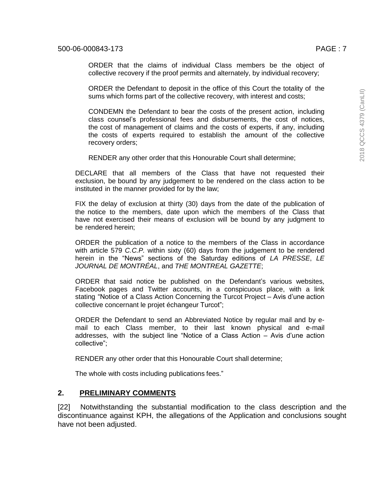ORDER that the claims of individual Class members be the object of collective recovery if the proof permits and alternately, by individual recovery;

ORDER the Defendant to deposit in the office of this Court the totality of the sums which forms part of the collective recovery, with interest and costs;

CONDEMN the Defendant to bear the costs of the present action, including class counsel's professional fees and disbursements, the cost of notices, the cost of management of claims and the costs of experts, if any, including the costs of experts required to establish the amount of the collective recovery orders;

RENDER any other order that this Honourable Court shall determine;

DECLARE that all members of the Class that have not requested their exclusion, be bound by any judgement to be rendered on the class action to be instituted in the manner provided for by the law;

FIX the delay of exclusion at thirty (30) days from the date of the publication of the notice to the members, date upon which the members of the Class that have not exercised their means of exclusion will be bound by any judgment to be rendered herein;

ORDER the publication of a notice to the members of the Class in accordance with article 579 *C.C.P.* within sixty (60) days from the judgement to be rendered herein in the "News" sections of the Saturday editions of *LA PRESSE*, *LE JOURNAL DE MONTRÉAL*, and *THE MONTREAL GAZETTE*;

ORDER that said notice be published on the Defendant's various websites, Facebook pages and Twitter accounts, in a conspicuous place, with a link stating "Notice of a Class Action Concerning the Turcot Project – Avis d'une action collective concernant le projet échangeur Turcot";

ORDER the Defendant to send an Abbreviated Notice by regular mail and by email to each Class member, to their last known physical and e-mail addresses, with the subject line "Notice of a Class Action – Avis d'une action collective";

RENDER any other order that this Honourable Court shall determine;

The whole with costs including publications fees."

### **2. PRELIMINARY COMMENTS**

[22] Notwithstanding the substantial modification to the class description and the discontinuance against KPH, the allegations of the Application and conclusions sought have not been adjusted.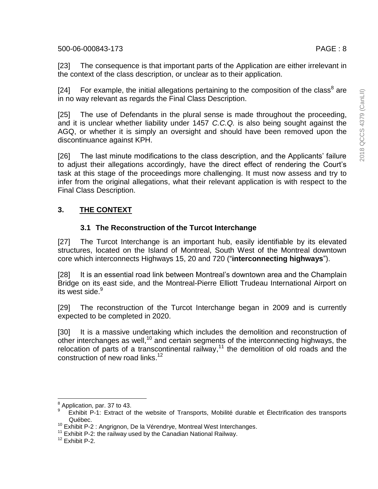[23] The consequence is that important parts of the Application are either irrelevant in the context of the class description, or unclear as to their application.

[24] For example, the initial allegations pertaining to the composition of the class<sup>8</sup> are in no way relevant as regards the Final Class Description.

[25] The use of Defendants in the plural sense is made throughout the proceeding, and it is unclear whether liability under 1457 *C.C.Q.* is also being sought against the AGQ, or whether it is simply an oversight and should have been removed upon the discontinuance against KPH.

[26] The last minute modifications to the class description, and the Applicants' failure to adjust their allegations accordingly, have the direct effect of rendering the Court's task at this stage of the proceedings more challenging. It must now assess and try to infer from the original allegations, what their relevant application is with respect to the Final Class Description.

# **3. THE CONTEXT**

# **3.1 The Reconstruction of the Turcot Interchange**

[27] The Turcot Interchange is an important hub, easily identifiable by its elevated structures, located on the Island of Montreal, South West of the Montreal downtown core which interconnects Highways 15, 20 and 720 ("**interconnecting highways**").

[28] It is an essential road link between Montreal's downtown area and the Champlain Bridge on its east side, and the Montreal-Pierre Elliott Trudeau International Airport on its west side.<sup>9</sup>

[29] The reconstruction of the Turcot Interchange began in 2009 and is currently expected to be completed in 2020.

[30] It is a massive undertaking which includes the demolition and reconstruction of other interchanges as well,<sup>10</sup> and certain segments of the interconnecting highways, the relocation of parts of a transcontinental railway,<sup>11</sup> the demolition of old roads and the construction of new road links.<sup>12</sup>

 $\overline{a}$ 

 $<sup>8</sup>$  Application, par. 37 to 43.</sup>

<sup>9</sup> Exhibit P-1: Extract of the website of Transports, Mobilité durable et Électrification des transports Québec.

<sup>&</sup>lt;sup>10</sup> Exhibit P-2 : Angrignon, De la Vérendrye, Montreal West Interchanges.

 $11$  Exhibit P-2: the railway used by the Canadian National Railway.

<sup>12</sup> Exhibit P-2.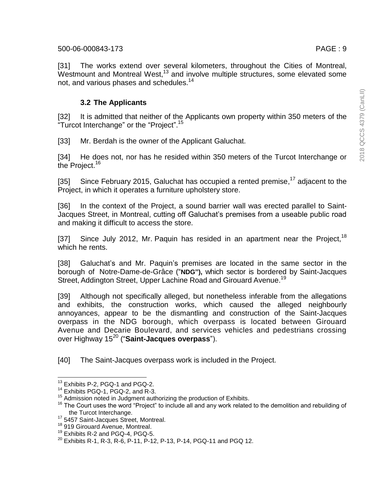[31] The works extend over several kilometers, throughout the Cities of Montreal, Westmount and Montreal West,<sup>13</sup> and involve multiple structures, some elevated some not, and various phases and schedules.<sup>14</sup>

### **3.2 The Applicants**

[32] It is admitted that neither of the Applicants own property within 350 meters of the "Turcot Interchange" or the "Project".<sup>15</sup>

[33] Mr. Berdah is the owner of the Applicant Galuchat.

[34] He does not, nor has he resided within 350 meters of the Turcot Interchange or the Project.<sup>16</sup>

[35] Since February 2015, Galuchat has occupied a rented premise,<sup>17</sup> adjacent to the Project, in which it operates a furniture upholstery store.

[36] In the context of the Project, a sound barrier wall was erected parallel to Saint-Jacques Street, in Montreal, cutting off Galuchat's premises from a useable public road and making it difficult to access the store.

[37] Since July 2012, Mr. Paquin has resided in an apartment near the Project,<sup>18</sup> which he rents.

[38] Galuchat's and Mr. Paquin's premises are located in the same sector in the borough of Notre-Dame-de-Grâce ("**NDG"),** which sector is bordered by Saint-Jacques Street, Addington Street, Upper Lachine Road and Girouard Avenue.<sup>19</sup>

[39] Although not specifically alleged, but nonetheless inferable from the allegations and exhibits, the construction works, which caused the alleged neighbourly annoyances, appear to be the dismantling and construction of the Saint-Jacques overpass in the NDG borough, which overpass is located between Girouard Avenue and Decarie Boulevard, and services vehicles and pedestrians crossing over Highway 15<sup>20</sup> ("**Saint-Jacques overpass**").

[40] The Saint-Jacques overpass work is included in the Project.

 $\overline{a}$ 

 $13$  Exhibits P-2, PGQ-1 and PGQ-2.

<sup>&</sup>lt;sup>14</sup> Exhibits PGQ-1, PGQ-2, and R-3.

<sup>&</sup>lt;sup>15</sup> Admission noted in Judgment authorizing the production of Exhibits.

<sup>&</sup>lt;sup>16</sup> The Court uses the word "Project" to include all and any work related to the demolition and rebuilding of the Turcot Interchange.

<sup>17</sup> 5457 Saint-Jacques Street, Montreal.

<sup>&</sup>lt;sup>18</sup> 919 Girouard Avenue, Montreal.

<sup>&</sup>lt;sup>19</sup> Exhibits R-2 and PGQ-4, PGQ-5.

<sup>20</sup> Exhibits R-1, R-3, R-6, P-11, P-12, P-13, P-14, PGQ-11 and PGQ 12.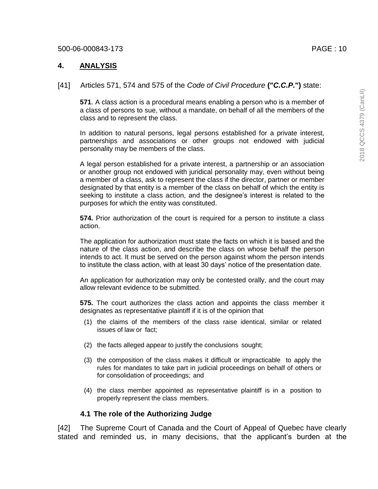2018 QCCS 4379 (CanLII) 2018 QCCS 4379 (CanLII)

### **4. ANALYSIS**

#### [41] Articles 571, 574 and 575 of the *Code of Civil Procedure* **("***C.C.P.***")** state:

**571**. A class action is a procedural means enabling a person who is a member of a class of persons to sue, without a mandate, on behalf of all the members of the class and to represent the class.

In addition to natural persons, legal persons established for a private interest, partnerships and associations or other groups not endowed with judicial personality may be members of the class.

A legal person established for a private interest, a partnership or an association or another group not endowed with juridical personality may, even without being a member of a class, ask to represent the class if the director, partner or member designated by that entity is a member of the class on behalf of which the entity is seeking to institute a class action, and the designee's interest is related to the purposes for which the entity was constituted.

**574.** Prior authorization of the court is required for a person to institute a class action.

The application for authorization must state the facts on which it is based and the nature of the class action, and describe the class on whose behalf the person intends to act. It must be served on the person against whom the person intends to institute the class action, with at least 30 days' notice of the presentation date.

An application for authorization may only be contested orally, and the court may allow relevant evidence to be submitted.

**575.** The court authorizes the class action and appoints the class member it designates as representative plaintiff if it is of the opinion that

- (1) the claims of the members of the class raise identical, similar or related issues of law or fact;
- (2) the facts alleged appear to justify the conclusions sought;
- (3) the composition of the class makes it difficult or impracticable to apply the rules for mandates to take part in judicial proceedings on behalf of others or for consolidation of proceedings; and
- (4) the class member appointed as representative plaintiff is in a position to properly represent the class members.

### **4.1 The role of the Authorizing Judge**

[42] The Supreme Court of Canada and the Court of Appeal of Quebec have clearly stated and reminded us, in many decisions, that the applicant's burden at the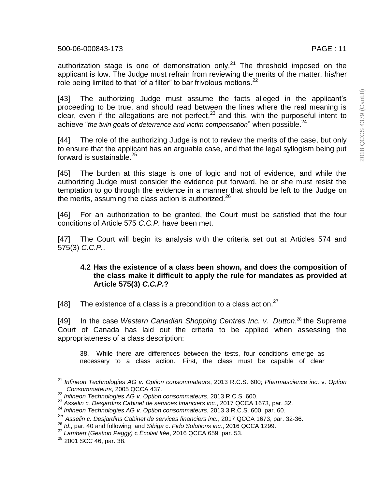authorization stage is one of demonstration only.<sup>21</sup> The threshold imposed on the applicant is low. The Judge must refrain from reviewing the merits of the matter, his/her role being limited to that "of a filter" to bar frivolous motions.<sup>22</sup>

[43] The authorizing Judge must assume the facts alleged in the applicant's proceeding to be true, and should read between the lines where the real meaning is clear, even if the allegations are not perfect, $^{23}$  and this, with the purposeful intent to achieve "*the twin goals of deterrence and victim compensation*" when possible. 24

[44] The role of the authorizing Judge is not to review the merits of the case, but only to ensure that the applicant has an arguable case, and that the legal syllogism being put forward is sustainable.<sup>25</sup>

[45] The burden at this stage is one of logic and not of evidence, and while the authorizing Judge must consider the evidence put forward, he or she must resist the temptation to go through the evidence in a manner that should be left to the Judge on the merits, assuming the class action is authorized. $^{26}$ 

[46] For an authorization to be granted, the Court must be satisfied that the four conditions of Article 575 *C.C.P.* have been met.

[47] The Court will begin its analysis with the criteria set out at Articles 574 and 575(3) *C.C.P.*.

### **4.2 Has the existence of a class been shown, and does the composition of the class make it difficult to apply the rule for mandates as provided at Article 575(3)** *C.C.P.***?**

[48] The existence of a class is a precondition to a class action. $27$ 

[49] In the case *Western Canadian Shopping Centres Inc. v. Dutton*, <sup>28</sup> the Supreme Court of Canada has laid out the criteria to be applied when assessing the appropriateness of a class description:

38. While there are differences between the tests, four conditions emerge as necessary to a class action. First, the class must be capable of clear

 $\overline{\phantom{a}}$ <sup>21</sup> *Infineon Technologies AG v. Option consommateurs*, 2013 R.C.S. 600; *Pharmascience inc*. v. *Option Consommateurs*, 2005 QCCA 437.

<sup>22</sup> *Infineon Technologies AG v. Option consommateurs*, 2013 R.C.S. 600.

<sup>23</sup> *Asselin c. Desjardins Cabinet de services financiers inc.*, 2017 QCCA 1673, par. 32.

<sup>24</sup> *Infineon Technologies AG v. Option consommateurs*, 2013 3 R.C.S. 600, par. 60.

<sup>25</sup> *Asselin c. Desjardins Cabinet de services financiers inc.*, 2017 QCCA 1673, par. 32-36.

<sup>26</sup> *Id*., par. 40 and following; and *Sibiga* c. *Fido Solutions inc.*, 2016 QCCA 1299.

<sup>27</sup> *Lambert (Gestion Peggy)* c *Écolait ltée*, 2016 QCCA 659, par. 53.

<sup>28</sup> 2001 SCC 46, par. 38.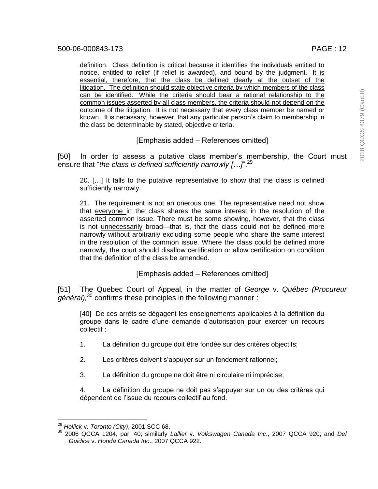definition. Class definition is critical because it identifies the individuals entitled to notice, entitled to relief (if relief is awarded), and bound by the judgment. It is essential, therefore, that the class be defined clearly at the outset of the litigation. The definition should state objective criteria by which members of the class can be identified. While the criteria should bear a rational relationship to the common issues asserted by all class members, the criteria should not depend on the outcome of the litigation. It is not necessary that every class member be named or known. It is necessary, however, that any particular person's claim to membership in the class be determinable by stated, objective criteria.

[Emphasis added – References omitted]

[50] In order to assess a putative class member's membership, the Court must ensure that "*the class is defined sufficiently narrowly […]*". 29

20. […] It falls to the putative representative to show that the class is defined sufficiently narrowly.

21. The requirement is not an onerous one. The representative need not show that everyone in the class shares the same interest in the resolution of the asserted common issue. There must be some showing, however, that the class is not unnecessarily broad—that is, that the class could not be defined more narrowly without arbitrarily excluding some people who share the same interest in the resolution of the common issue. Where the class could be defined more narrowly, the court should disallow certification or allow certification on condition that the definition of the class be amended.

[Emphasis added – References omitted]

[51] The Quebec Court of Appeal, in the matter of *George* v. *Québec (Procureur général),* <sup>30</sup> confirms these principles in the following manner :

[40] De ces arrêts se dégagent les enseignements applicables à la définition du groupe dans le cadre d'une demande d'autorisation pour exercer un recours collectif :

- 1. La définition du groupe doit être fondée sur des critères objectifs;
- 2. Les critères doivent s'appuyer sur un fondement rationnel;
- 3. La définition du groupe ne doit être ni circulaire ni imprécise;

4. La définition du groupe ne doit pas s'appuyer sur un ou des critères qui dépendent de l'issue du recours collectif au fond.

 <sup>29</sup> *Hollick* v. *Toronto (City)*, 2001 SCC 68.

<sup>30</sup> 2006 QCCA 1204, par. 40; similarly *Lallier* v. *Volkswagen Canada Inc*., 2007 QCCA 920; and *Del Guidice* v. *Honda Canada Inc*., 2007 QCCA 922.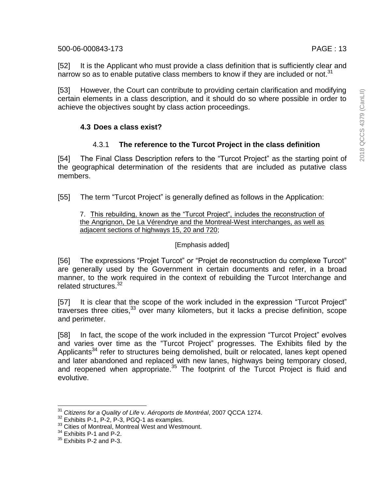[53] However, the Court can contribute to providing certain clarification and modifying certain elements in a class description, and it should do so where possible in order to achieve the objectives sought by class action proceedings.

# **4.3 Does a class exist?**

# 4.3.1 **The reference to the Turcot Project in the class definition**

[54] The Final Class Description refers to the "Turcot Project" as the starting point of the geographical determination of the residents that are included as putative class members.

[55] The term "Turcot Project" is generally defined as follows in the Application:

#### 7. This rebuilding, known as the "Turcot Project", includes the reconstruction of the Angrignon, De La Vérendrye and the Montreal-West interchanges, as well as adjacent sections of highways 15, 20 and 720;

# [Emphasis added]

[56] The expressions "Projet Turcot" or "Projet de reconstruction du complexe Turcot" are generally used by the Government in certain documents and refer, in a broad manner, to the work required in the context of rebuilding the Turcot Interchange and related structures.<sup>32</sup>

[57] It is clear that the scope of the work included in the expression "Turcot Project" traverses three cities,<sup>33</sup> over many kilometers, but it lacks a precise definition, scope and perimeter.

[58] In fact, the scope of the work included in the expression "Turcot Project" evolves and varies over time as the "Turcot Project" progresses. The Exhibits filed by the Applicants<sup>34</sup> refer to structures being demolished, built or relocated, lanes kept opened and later abandoned and replaced with new lanes, highways being temporary closed, and reopened when appropriate.<sup>35</sup> The footprint of the Turcot Project is fluid and evolutive.

l

<sup>31</sup> *Citizens for a Quality of Life* v. *Aéroports de Montréal*, 2007 QCCA 1274.

<sup>&</sup>lt;sup>32</sup> Exhibits P-1, P-2, P-3, PGQ-1 as examples.

<sup>&</sup>lt;sup>33</sup> Cities of Montreal, Montreal West and Westmount.

<sup>&</sup>lt;sup>34</sup> Exhibits P-1 and P-2.

<sup>&</sup>lt;sup>35</sup> Exhibits P-2 and P-3.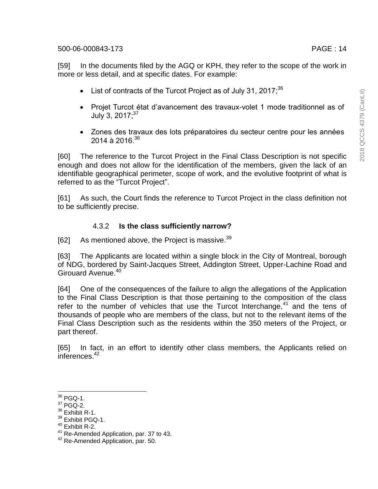[59] In the documents filed by the AGQ or KPH, they refer to the scope of the work in more or less detail, and at specific dates. For example:

- List of contracts of the Turcot Project as of July 31, 2017; $^{36}$
- Projet Turcot état d'avancement des travaux-volet 1 mode traditionnel as of July 3, 2017;<sup>37</sup>
- Zones des travaux des lots préparatoires du secteur centre pour les années  $2014$  à  $2016$   $38$

[60] The reference to the Turcot Project in the Final Class Description is not specific enough and does not allow for the identification of the members, given the lack of an identifiable geographical perimeter, scope of work, and the evolutive footprint of what is referred to as the "Turcot Project".

[61] As such, the Court finds the reference to Turcot Project in the class definition not to be sufficiently precise.

### 4.3.2 **Is the class sufficiently narrow?**

[62] As mentioned above, the Project is massive.<sup>39</sup>

[63] The Applicants are located within a single block in the City of Montreal, borough of NDG, bordered by Saint-Jacques Street, Addington Street, Upper-Lachine Road and Girouard Avenue.<sup>40</sup>

[64] One of the consequences of the failure to align the allegations of the Application to the Final Class Description is that those pertaining to the composition of the class refer to the number of vehicles that use the Turcot Interchange,<sup>41</sup> and the tens of thousands of people who are members of the class, but not to the relevant items of the Final Class Description such as the residents within the 350 meters of the Project, or part thereof.

[65] In fact, in an effort to identify other class members, the Applicants relied on inferences.<sup>42</sup>

<sup>38</sup> Exhibit R-1.

l  $36$  PGQ-1.

<sup>37</sup> PGQ-2.

<sup>&</sup>lt;sup>39</sup> Exhibit PGQ-1.

<sup>40</sup> Exhibit R-2.

<sup>&</sup>lt;sup>41</sup> Re-Amended Application, par. 37 to 43.

<sup>&</sup>lt;sup>42</sup> Re-Amended Application, par. 50.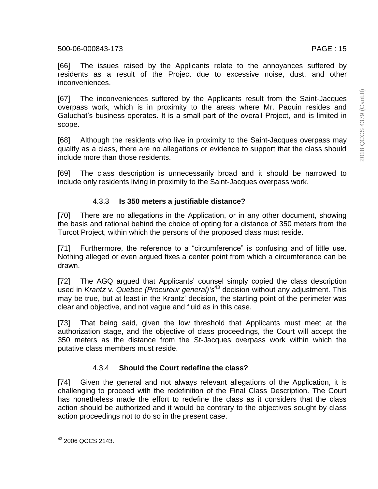2018 QCCS 4379 (CanLII) 2018 QCCS 4379 (CanLII)

[66] The issues raised by the Applicants relate to the annoyances suffered by residents as a result of the Project due to excessive noise, dust, and other inconveniences.

[67] The inconveniences suffered by the Applicants result from the Saint-Jacques overpass work, which is in proximity to the areas where Mr. Paquin resides and Galuchat's business operates. It is a small part of the overall Project, and is limited in scope.

[68] Although the residents who live in proximity to the Saint-Jacques overpass may qualify as a class, there are no allegations or evidence to support that the class should include more than those residents.

[69] The class description is unnecessarily broad and it should be narrowed to include only residents living in proximity to the Saint-Jacques overpass work.

# 4.3.3 **Is 350 meters a justifiable distance?**

[70] There are no allegations in the Application, or in any other document, showing the basis and rational behind the choice of opting for a distance of 350 meters from the Turcot Project, within which the persons of the proposed class must reside.

[71] Furthermore, the reference to a "circumference" is confusing and of little use. Nothing alleged or even argued fixes a center point from which a circumference can be drawn.

[72] The AGQ argued that Applicants' counsel simply copied the class description used in *Krantz* v. *Quebec (Procureur general)'s*<sup>43</sup> decision without any adjustment. This may be true, but at least in the Krantz' decision, the starting point of the perimeter was clear and objective, and not vague and fluid as in this case.

[73] That being said, given the low threshold that Applicants must meet at the authorization stage, and the objective of class proceedings, the Court will accept the 350 meters as the distance from the St-Jacques overpass work within which the putative class members must reside.

# 4.3.4 **Should the Court redefine the class?**

[74] Given the general and not always relevant allegations of the Application, it is challenging to proceed with the redefinition of the Final Class Description. The Court has nonetheless made the effort to redefine the class as it considers that the class action should be authorized and it would be contrary to the objectives sought by class action proceedings not to do so in the present case.

l <sup>43</sup> 2006 QCCS 2143.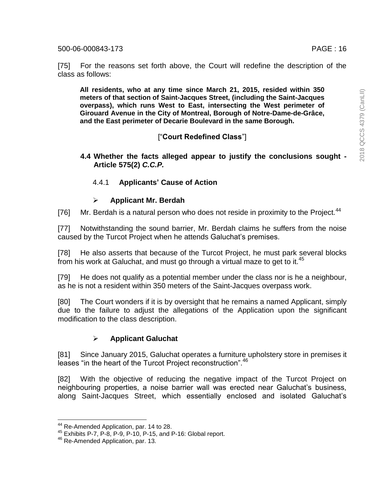[75] For the reasons set forth above, the Court will redefine the description of the class as follows:

**All residents, who at any time since March 21, 2015, resided within 350 meters of that section of Saint-Jacques Street, (including the Saint-Jacques overpass), which runs West to East, intersecting the West perimeter of Girouard Avenue in the City of Montreal, Borough of Notre-Dame-de-Grâce, and the East perimeter of Decarie Boulevard in the same Borough.**

# ["**Court Redefined Class**"]

**4.4 Whether the facts alleged appear to justify the conclusions sought - Article 575(2)** *C.C.P.*

# 4.4.1 **Applicants' Cause of Action**

# **Applicant Mr. Berdah**

[76] Mr. Berdah is a natural person who does not reside in proximity to the Project.<sup>44</sup>

[77] Notwithstanding the sound barrier, Mr. Berdah claims he suffers from the noise caused by the Turcot Project when he attends Galuchat's premises.

[78] He also asserts that because of the Turcot Project, he must park several blocks from his work at Galuchat, and must go through a virtual maze to get to it.<sup>45</sup>

[79] He does not qualify as a potential member under the class nor is he a neighbour, as he is not a resident within 350 meters of the Saint-Jacques overpass work.

[80] The Court wonders if it is by oversight that he remains a named Applicant, simply due to the failure to adjust the allegations of the Application upon the significant modification to the class description.

# **Applicant Galuchat**

[81] Since January 2015, Galuchat operates a furniture upholstery store in premises it leases "in the heart of the Turcot Project reconstruction".<sup>46</sup>

[82] With the objective of reducing the negative impact of the Turcot Project on neighbouring properties, a noise barrier wall was erected near Galuchat's business, along Saint-Jacques Street, which essentially enclosed and isolated Galuchat's

<sup>&</sup>lt;sup>44</sup> Re-Amended Application, par. 14 to 28.

<sup>45</sup> Exhibits P-7, P-8, P-9, P-10, P-15, and P-16: Global report.

<sup>46</sup> Re-Amended Application, par. 13*.*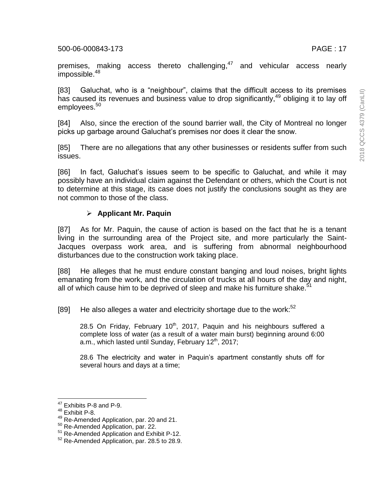premises, making access thereto challenging,<sup>47</sup> and vehicular access nearly impossible.<sup>48</sup>

[83] Galuchat, who is a "neighbour", claims that the difficult access to its premises has caused its revenues and business value to drop significantly,<sup>49</sup> obliging it to lay off employees.<sup>50</sup>

[84] Also, since the erection of the sound barrier wall, the City of Montreal no longer picks up garbage around Galuchat's premises nor does it clear the snow.

[85] There are no allegations that any other businesses or residents suffer from such issues.

[86] In fact, Galuchat's issues seem to be specific to Galuchat, and while it may possibly have an individual claim against the Defendant or others, which the Court is not to determine at this stage, its case does not justify the conclusions sought as they are not common to those of the class.

### **Applicant Mr. Paquin**

[87] As for Mr. Paquin, the cause of action is based on the fact that he is a tenant living in the surrounding area of the Project site, and more particularly the Saint-Jacques overpass work area, and is suffering from abnormal neighbourhood disturbances due to the construction work taking place.

[88] He alleges that he must endure constant banging and loud noises, bright lights emanating from the work, and the circulation of trucks at all hours of the day and night, all of which cause him to be deprived of sleep and make his furniture shake.<sup>51</sup>

[89] He also alleges a water and electricity shortage due to the work:<sup>52</sup>

28.5 On Friday, February  $10^{th}$ , 2017, Paquin and his neighbours suffered a complete loss of water (as a result of a water main burst) beginning around 6:00 a.m., which lasted until Sunday, February  $12<sup>th</sup>$ , 2017;

28.6 The electricity and water in Paquin's apartment constantly shuts off for several hours and days at a time;

 $\overline{\phantom{a}}$ 

<sup>49</sup> Re-Amended Application, par. 20 and 21.

 $47$  Exhibits P-8 and P-9.

<sup>48</sup> Exhibit P-8.

<sup>50</sup> Re-Amended Application, par. 22.

<sup>51</sup> Re-Amended Application and Exhibit P-12.

<sup>52</sup> Re-Amended Application, par. 28.5 to 28.9.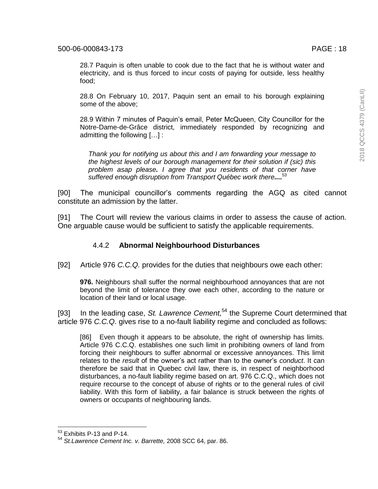28.7 Paquin is often unable to cook due to the fact that he is without water and electricity, and is thus forced to incur costs of paying for outside, less healthy food;

28.8 On February 10, 2017, Paquin sent an email to his borough explaining some of the above;

28.9 Within 7 minutes of Paquin's email, Peter McQueen, City Councillor for the Notre-Dame-de-Grâce district, immediately responded by recognizing and admitting the following […] :

*Thank you for notifying us about this and I am forwarding your message to the highest levels of our borough management for their solution if (sic) this problem asap please. I agree that you residents of that corner have suffered enough disruption from Transport Québec work there....* 53

[90] The municipal councillor's comments regarding the AGQ as cited cannot constitute an admission by the latter.

[91] The Court will review the various claims in order to assess the cause of action. One arguable cause would be sufficient to satisfy the applicable requirements.

#### 4.4.2 **Abnormal Neighbourhood Disturbances**

[92] Article 976 *C.C.Q.* provides for the duties that neighbours owe each other:

**976.** Neighbours shall suffer the normal neighbourhood annoyances that are not beyond the limit of tolerance they owe each other, according to the nature or location of their land or local usage.

[93] In the leading case, *St. Lawrence Cement,* <sup>54</sup> the Supreme Court determined that article 976 *C.C.Q*. gives rise to a no-fault liability regime and concluded as follows:

[86] Even though it appears to be absolute, the right of ownership has limits. Article 976 C.C.Q. establishes one such limit in prohibiting owners of land from forcing their neighbours to suffer abnormal or excessive annoyances. This limit relates to the *result* of the owner's act rather than to the owner's *conduct*. It can therefore be said that in Quebec civil law, there is, in respect of neighborhood disturbances, a no-fault liability regime based on art. 976 C.C.Q., which does not require recourse to the concept of abuse of rights or to the general rules of civil liability. With this form of liability, a fair balance is struck between the rights of owners or occupants of neighbouring lands.

l

 $53$  Exhibits P-13 and P-14.

<sup>54</sup> *St.Lawrence Cement Inc. v. Barrette,* 2008 SCC 64, par. 86.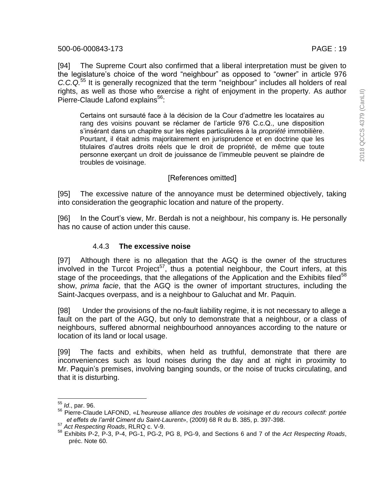[94] The Supreme Court also confirmed that a liberal interpretation must be given to the legislature's choice of the word "neighbour" as opposed to "owner" in article 976 *C.C.Q.* <sup>55</sup> It is generally recognized that the term "neighbour" includes all holders of real rights, as well as those who exercise a right of enjoyment in the property. As author Pierre-Claude Lafond explains<sup>56</sup>:

Certains ont sursauté face à la décision de la Cour d'admettre les locataires au rang des voisins pouvant se réclamer de l'article 976 C.c.Q., une disposition s'insérant dans un chapitre sur les règles particulières à la *propriété* immobilière. Pourtant, il était admis majoritairement en jurisprudence et en doctrine que les titulaires d'autres droits réels que le droit de propriété, de même que toute personne exerçant un droit de jouissance de l'immeuble peuvent se plaindre de troubles de voisinage.

## [References omitted]

[95] The excessive nature of the annoyance must be determined objectively, taking into consideration the geographic location and nature of the property.

[96] In the Court's view, Mr. Berdah is not a neighbour, his company is. He personally has no cause of action under this cause.

### 4.4.3 **The excessive noise**

[97] Although there is no allegation that the AGQ is the owner of the structures involved in the Turcot Project<sup>57</sup>, thus a potential neighbour, the Court infers, at this stage of the proceedings, that the allegations of the Application and the Exhibits filed<sup>58</sup> show, *prima facie*, that the AGQ is the owner of important structures, including the Saint-Jacques overpass, and is a neighbour to Galuchat and Mr. Paquin.

[98] Under the provisions of the no-fault liability regime, it is not necessary to allege a fault on the part of the AGQ, but only to demonstrate that a neighbour, or a class of neighbours, suffered abnormal neighbourhood annoyances according to the nature or location of its land or local usage.

[99] The facts and exhibits, when held as truthful, demonstrate that there are inconveniences such as loud noises during the day and at night in proximity to Mr. Paquin's premises, involving banging sounds, or the noise of trucks circulating, and that it is disturbing.

 $\overline{a}$ 

<sup>55</sup> *Id*., par. 96.

<sup>56</sup> Pierre-Claude LAFOND, «*L'heureuse alliance des troubles de voisinage et du recours collectif: portée et effets de l'arrêt Ciment du Saint-Laurent*», (2009) 68 R du B. 385, p. 397-398.

<sup>57</sup> *Act Respecting Roads*, RLRQ c. V-9.

<sup>58</sup> Exhibits P-2, P-3, P-4, PG-1, PG-2, PG 8, PG-9, and Sections 6 and 7 of the *Act Respecting Roads*, préc. Note 60.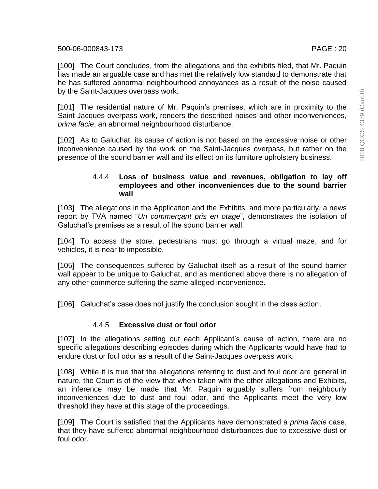[101] The residential nature of Mr. Paquin's premises, which are in proximity to the Saint-Jacques overpass work, renders the described noises and other inconveniences, *prima facie*, an abnormal neighbourhood disturbance.

[102] As to Galuchat, its cause of action is not based on the excessive noise or other inconvenience caused by the work on the Saint-Jacques overpass, but rather on the presence of the sound barrier wall and its effect on its furniture upholstery business.

## 4.4.4 **Loss of business value and revenues, obligation to lay off employees and other inconveniences due to the sound barrier wall**

[103] The allegations in the Application and the Exhibits, and more particularly, a news report by TVA named "*Un commerçant pris en otage*", demonstrates the isolation of Galuchat's premises as a result of the sound barrier wall.

[104] To access the store, pedestrians must go through a virtual maze, and for vehicles, it is near to impossible.

[105] The consequences suffered by Galuchat itself as a result of the sound barrier wall appear to be unique to Galuchat, and as mentioned above there is no allegation of any other commerce suffering the same alleged inconvenience.

[106] Galuchat's case does not justify the conclusion sought in the class action.

# 4.4.5 **Excessive dust or foul odor**

[107] In the allegations setting out each Applicant's cause of action, there are no specific allegations describing episodes during which the Applicants would have had to endure dust or foul odor as a result of the Saint-Jacques overpass work.

[108] While it is true that the allegations referring to dust and foul odor are general in nature, the Court is of the view that when taken with the other allegations and Exhibits, an inference may be made that Mr. Paquin arguably suffers from neighbourly inconveniences due to dust and foul odor, and the Applicants meet the very low threshold they have at this stage of the proceedings.

[109] The Court is satisfied that the Applicants have demonstrated a *prima facie* case, that they have suffered abnormal neighbourhood disturbances due to excessive dust or foul odor.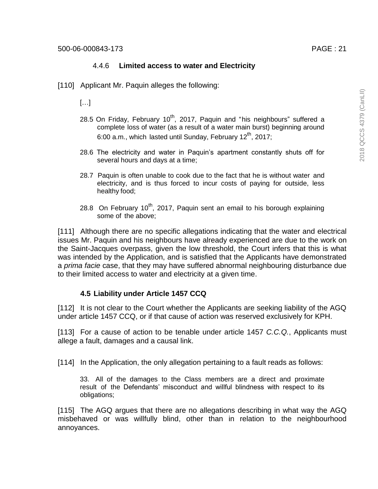### 4.4.6 **Limited access to water and Electricity**

[110] Applicant Mr. Paquin alleges the following:

[…]

- 28.5 On Friday, February 10<sup>th</sup>, 2017, Paquin and "his neighbours" suffered a complete loss of water (as a result of a water main burst) beginning around 6:00 a.m., which lasted until Sunday, February 12<sup>th</sup>, 2017;
- 28.6 The electricity and water in Paquin's apartment constantly shuts off for several hours and days at a time;
- 28.7 Paquin is often unable to cook due to the fact that he is without water and electricity, and is thus forced to incur costs of paying for outside, less healthy food;
- 28.8 On February  $10^{th}$ , 2017, Paquin sent an email to his borough explaining some of the above;

[111] Although there are no specific allegations indicating that the water and electrical issues Mr. Paquin and his neighbours have already experienced are due to the work on the Saint-Jacques overpass, given the low threshold, the Court infers that this is what was intended by the Application, and is satisfied that the Applicants have demonstrated a *prima facie* case, that they may have suffered abnormal neighbouring disturbance due to their limited access to water and electricity at a given time.

# **4.5 Liability under Article 1457 CCQ**

[112] It is not clear to the Court whether the Applicants are seeking liability of the AGQ under article 1457 CCQ, or if that cause of action was reserved exclusively for KPH.

[113] For a cause of action to be tenable under article 1457 *C.C.Q.*, Applicants must allege a fault, damages and a causal link.

[114] In the Application, the only allegation pertaining to a fault reads as follows:

33. All of the damages to the Class members are a direct and proximate result of the Defendants' misconduct and willful blindness with respect to its obligations;

[115] The AGQ argues that there are no allegations describing in what way the AGQ misbehaved or was willfully blind, other than in relation to the neighbourhood annoyances.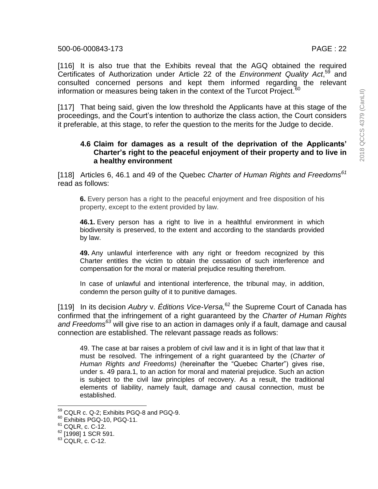[116] It is also true that the Exhibits reveal that the AGQ obtained the required Certificates of Authorization under Article 22 of the *Environment Quality Act*,<sup>59</sup> and consulted concerned persons and kept them informed regarding the relevant information or measures being taken in the context of the Turcot Project. $60$ 

[117] That being said, given the low threshold the Applicants have at this stage of the proceedings, and the Court's intention to authorize the class action, the Court considers it preferable, at this stage, to refer the question to the merits for the Judge to decide.

#### **4.6 Claim for damages as a result of the deprivation of the Applicants' Charter's right to the peaceful enjoyment of their property and to live in a healthy environment**

[118] Articles 6, 46.1 and 49 of the Quebec *Charter of Human Rights and Freedoms<sup>61</sup>* read as follows:

**6.** Every person has a right to the peaceful enjoyment and free disposition of his property, except to the extent provided by law.

**46.1.** Every person has a right to live in a healthful environment in which biodiversity is preserved, to the extent and according to the standards provided by law.

**49.** Any unlawful interference with any right or freedom recognized by this Charter entitles the victim to obtain the cessation of such interference and compensation for the moral or material prejudice resulting therefrom.

In case of unlawful and intentional interference, the tribunal may, in addition, condemn the person guilty of it to punitive damages.

[119] In its decision *Aubry* v. *Éditions Vice-Versa,* <sup>62</sup> the Supreme Court of Canada has confirmed that the infringement of a right guaranteed by the *Charter of Human Rights and Freedoms<sup>63</sup>* will give rise to an action in damages only if a fault, damage and causal connection are established. The relevant passage reads as follows:

49. The case at bar raises a problem of civil law and it is in light of that law that it must be resolved. The infringement of a right guaranteed by the (*Charter of Human Rights and Freedoms)* (hereinafter the "Quebec Charter") gives rise, under s. 49 para.1, to an action for moral and material prejudice. Such an action is subject to the civil law principles of recovery. As a result, the traditional elements of liability, namely fault, damage and causal connection, must be established.

l

 $^{59}$  CQLR c. Q-2; Exhibits PGQ-8 and PGQ-9.

<sup>60</sup> Exhibits PGQ-10, PGQ-11.

<sup>&</sup>lt;sup>61</sup> CQLR, c. C-12.

<sup>&</sup>lt;sup>62</sup> [1998] 1 SCR 591.

<sup>&</sup>lt;sup>63</sup> CQLR, c. C-12.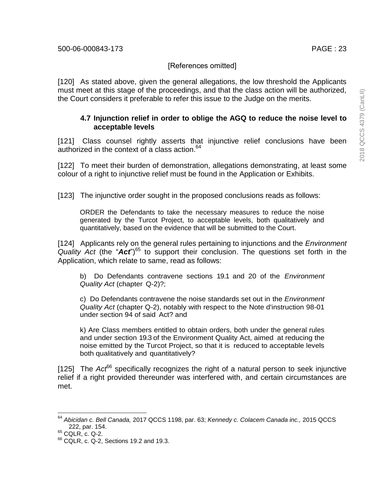# [References omitted]

[120] As stated above, given the general allegations, the low threshold the Applicants must meet at this stage of the proceedings, and that the class action will be authorized, the Court considers it preferable to refer this issue to the Judge on the merits.

## **4.7 Injunction relief in order to oblige the AGQ to reduce the noise level to acceptable levels**

[121] Class counsel rightly asserts that injunctive relief conclusions have been authorized in the context of a class action. 64

[122] To meet their burden of demonstration, allegations demonstrating, at least some colour of a right to injunctive relief must be found in the Application or Exhibits.

[123] The injunctive order sought in the proposed conclusions reads as follows:

ORDER the Defendants to take the necessary measures to reduce the noise generated by the Turcot Project, to acceptable levels, both qualitatively and quantitatively, based on the evidence that will be submitted to the Court.

[124] Applicants rely on the general rules pertaining to injunctions and the *Environment*  Quality Act (the "Act")<sup>65</sup> to support their conclusion. The questions set forth in the Application, which relate to same, read as follows:

b) Do Defendants contravene sections 19.1 and 20 of the *Environment Quality Act* (chapter Q-2)?;

c) Do Defendants contravene the noise standards set out in the *Environment Quality Act* (chapter Q-2), notably with respect to the Note d'instruction 98-01 under section 94 of said Act? and

k) Are Class members entitled to obtain orders, both under the general rules and under section 19.3 of the Environment Quality Act, aimed at reducing the noise emitted by the Turcot Project, so that it is reduced to acceptable levels both qualitatively and quantitatively?

[125] The *Act*<sup>66</sup> specifically recognizes the right of a natural person to seek injunctive relief if a right provided thereunder was interfered with, and certain circumstances are met.

 $\overline{a}$ 

<sup>64</sup> *Abicidan c. Bell Canada,* 2017 QCCS 1198, par. 63; *Kennedy c. Colacem Canada inc.,* 2015 QCCS 222, par. 154.

 $65$  CQLR, c. Q-2.

<sup>66</sup> CQLR, c. Q-2, Sections 19.2 and 19.3.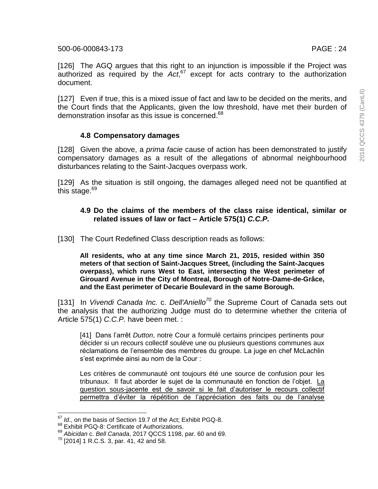[126] The AGQ argues that this right to an injunction is impossible if the Project was authorized as required by the *Act*, <sup>67</sup> except for acts contrary to the authorization document.

[127] Even if true, this is a mixed issue of fact and law to be decided on the merits, and the Court finds that the Applicants, given the low threshold, have met their burden of demonstration insofar as this issue is concerned.<sup>68</sup>

## **4.8 Compensatory damages**

[128] Given the above, a *prima facie* cause of action has been demonstrated to justify compensatory damages as a result of the allegations of abnormal neighbourhood disturbances relating to the Saint-Jacques overpass work.

[129] As the situation is still ongoing, the damages alleged need not be quantified at this stage.<sup>69</sup>

### **4.9 Do the claims of the members of the class raise identical, similar or related issues of law or fact – Article 575(1)** *C.C.P.*

[130] The Court Redefined Class description reads as follows:

**All residents, who at any time since March 21, 2015, resided within 350 meters of that section of Saint-Jacques Street, (including the Saint-Jacques overpass), which runs West to East, intersecting the West perimeter of Girouard Avenue in the City of Montreal, Borough of Notre-Dame-de-Grâce, and the East perimeter of Decarie Boulevard in the same Borough.**

[131] In *Vivendi Canada Inc.* c. *Dell'Aniello<sup>70</sup>* the Supreme Court of Canada sets out the analysis that the authorizing Judge must do to determine whether the criteria of Article 575(1) *C.C.P.* have been met. :

[41] Dans l'arrêt *Dutton*, notre Cour a formulé certains principes pertinents pour décider si un recours collectif soulève une ou plusieurs questions communes aux réclamations de l'ensemble des membres du groupe. La juge en chef McLachlin s'est exprimée ainsi au nom de la Cour :

Les critères de communauté ont toujours été une source de confusion pour les tribunaux. Il faut aborder le sujet de la communauté en fonction de l'objet. La question sous-jacente est de savoir si le fait d'autoriser le recours collectif permettra d'éviter la répétition de l'appréciation des faits ou de l'analyse

 $\overline{a}$ <sup>67</sup> *Id.*, on the basis of Section 19.7 of the Act; Exhibit PGQ-8.

<sup>&</sup>lt;sup>68</sup> Exhibit PGQ-8: Certificate of Authorizations.

<sup>69</sup> *Abicidan* c. *Bell Canada*, 2017 QCCS 1198, par. 60 and 69.

<sup>70</sup> [2014] 1 R.C.S. 3, par. 41, 42 and 58.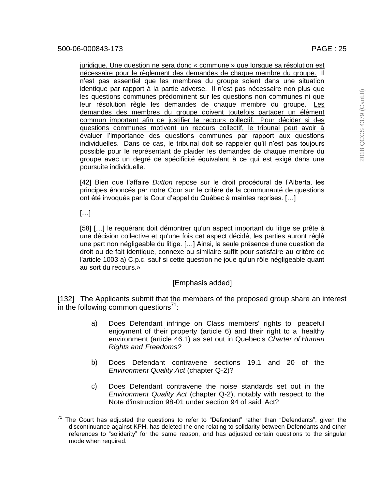juridique. Une question ne sera donc « commune » que lorsque sa résolution est nécessaire pour le règlement des demandes de chaque membre du groupe. Il n'est pas essentiel que les membres du groupe soient dans une situation identique par rapport à la partie adverse. Il n'est pas nécessaire non plus que les questions communes prédominent sur les questions non communes ni que leur résolution règle les demandes de chaque membre du groupe. Les demandes des membres du groupe doivent toutefois partager un élément commun important afin de justifier le recours collectif. Pour décider si des questions communes motivent un recours collectif, le tribunal peut avoir à évaluer l'importance des questions communes par rapport aux questions individuelles. Dans ce cas, le tribunal doit se rappeler qu'il n'est pas toujours possible pour le représentant de plaider les demandes de chaque membre du groupe avec un degré de spécificité équivalant à ce qui est exigé dans une poursuite individuelle.

[42] Bien que l'affaire *Dutton* repose sur le droit procédural de l'Alberta, les principes énoncés par notre Cour sur le critère de la communauté de questions ont été invoqués par la Cour d'appel du Québec à maintes reprises. […]

 $\left[\ldots\right]$ 

[58] […] le requérant doit démontrer qu'un aspect important du litige se prête à une décision collective et qu'une fois cet aspect décidé, les parties auront réglé une part non négligeable du litige. […] Ainsi, la seule présence d'une question de droit ou de fait identique, connexe ou similaire suffit pour satisfaire au critère de l'article 1003 a) C.p.c. sauf si cette question ne joue qu'un rôle négligeable quant au sort du recours.»

# [Emphasis added]

[132] The Applicants submit that the members of the proposed group share an interest in the following common questions $1$ :

- a) Does Defendant infringe on Class members' rights to peaceful enjoyment of their property (article 6) and their right to a healthy environment (article 46.1) as set out in Quebec's *Charter of Human Rights and Freedoms?*
- b) Does Defendant contravene sections 19.1 and 20 of the *Environment Quality Act* (chapter Q-2)?
- c) Does Defendant contravene the noise standards set out in the *Environment Quality Act* (chapter Q-2), notably with respect to the Note d'instruction 98-01 under section 94 of said Act?

l The Court has adjusted the questions to refer to "Defendant" rather than "Defendants", given the discontinuance against KPH, has deleted the one relating to solidarity between Defendants and other references to "solidarity" for the same reason, and has adjusted certain questions to the singular mode when required.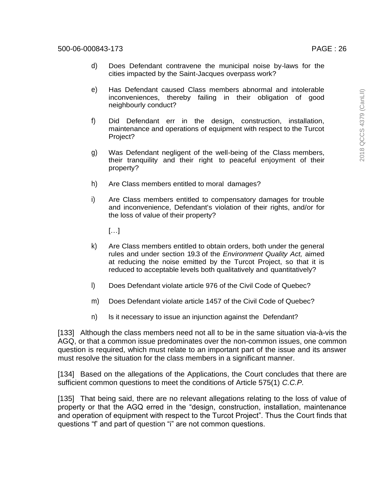- d) Does Defendant contravene the municipal noise by-laws for the cities impacted by the Saint-Jacques overpass work?
- e) Has Defendant caused Class members abnormal and intolerable inconveniences, thereby failing in their obligation of good neighbourly conduct?
- f) Did Defendant err in the design, construction, installation, maintenance and operations of equipment with respect to the Turcot Project?
- g) Was Defendant negligent of the well-being of the Class members, their tranquility and their right to peaceful enjoyment of their property?
- h) Are Class members entitled to moral damages?
- i) Are Class members entitled to compensatory damages for trouble and inconvenience, Defendant's violation of their rights, and/or for the loss of value of their property?

 $[...]$ 

- k) Are Class members entitled to obtain orders, both under the general rules and under section 19.3 of the *Environment Quality Act,* aimed at reducing the noise emitted by the Turcot Project, so that it is reduced to acceptable levels both qualitatively and quantitatively?
- l) Does Defendant violate article 976 of the Civil Code of Quebec?
- m) Does Defendant violate article 1457 of the Civil Code of Quebec?
- n) ls it necessary to issue an injunction against the Defendant?

[133] Although the class members need not all to be in the same situation via-à-vis the AGQ, or that a common issue predominates over the non-common issues, one common question is required, which must relate to an important part of the issue and its answer must resolve the situation for the class members in a significant manner.

[134] Based on the allegations of the Applications, the Court concludes that there are sufficient common questions to meet the conditions of Article 575(1) *C.C.P.*

[135] That being said, there are no relevant allegations relating to the loss of value of property or that the AGQ erred in the "design, construction, installation, maintenance and operation of equipment with respect to the Turcot Project". Thus the Court finds that questions "f' and part of question "i" are not common questions.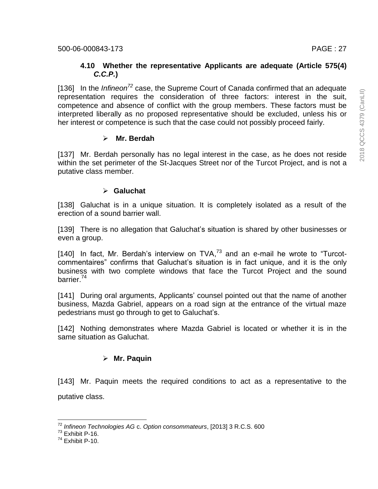### **4.10 Whether the representative Applicants are adequate (Article 575(4)**  *C.C.P.***)**

[136] In the *Infineon<sup>72</sup>* case, the Supreme Court of Canada confirmed that an adequate representation requires the consideration of three factors: interest in the suit, competence and absence of conflict with the group members. These factors must be interpreted liberally as no proposed representative should be excluded, unless his or her interest or competence is such that the case could not possibly proceed fairly.

# **Mr. Berdah**

[137] Mr. Berdah personally has no legal interest in the case, as he does not reside within the set perimeter of the St-Jacques Street nor of the Turcot Project, and is not a putative class member.

# **Galuchat**

[138] Galuchat is in a unique situation. It is completely isolated as a result of the erection of a sound barrier wall.

[139] There is no allegation that Galuchat's situation is shared by other businesses or even a group.

[140] In fact, Mr. Berdah's interview on  $TVA$ , $73$  and an e-mail he wrote to "Turcotcommentaires" confirms that Galuchat's situation is in fact unique, and it is the only business with two complete windows that face the Turcot Project and the sound barrier.<sup>74</sup>

[141] During oral arguments, Applicants' counsel pointed out that the name of another business, Mazda Gabriel, appears on a road sign at the entrance of the virtual maze pedestrians must go through to get to Galuchat's.

[142] Nothing demonstrates where Mazda Gabriel is located or whether it is in the same situation as Galuchat.

# **Mr. Paquin**

[143] Mr. Paquin meets the required conditions to act as a representative to the putative class.

 <sup>72</sup> *Infineon Technologies AG* c. *Option consommateurs*, [2013] 3 R.C.S. 600

 $73$  Exhibit P-16.

 $74$  Exhibit P-10.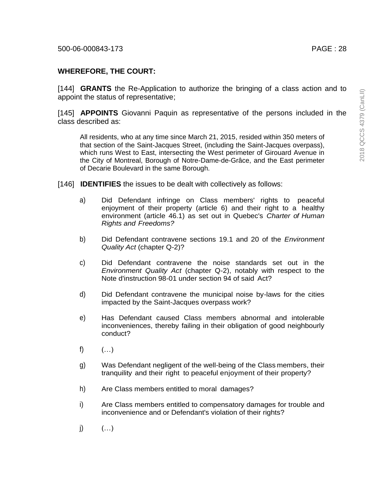# **WHEREFORE, THE COURT:**

[144] **GRANTS** the Re-Application to authorize the bringing of a class action and to appoint the status of representative;

[145] **APPOINTS** Giovanni Paquin as representative of the persons included in the class described as:

All residents, who at any time since March 21, 2015, resided within 350 meters of that section of the Saint-Jacques Street, (including the Saint-Jacques overpass), which runs West to East, intersecting the West perimeter of Girouard Avenue in the City of Montreal, Borough of Notre-Dame-de-Grâce, and the East perimeter of Decarie Boulevard in the same Borough.

- [146] **IDENTIFIES** the issues to be dealt with collectively as follows:
	- a) Did Defendant infringe on Class members' rights to peaceful enjoyment of their property (article 6) and their right to a healthy environment (article 46.1) as set out in Quebec's *Charter of Human Rights and Freedoms?*
	- b) Did Defendant contravene sections 19.1 and 20 of the *Environment Quality Act* (chapter Q-2)?
	- c) Did Defendant contravene the noise standards set out in the *Environment Quality Act* (chapter Q-2), notably with respect to the Note d'instruction 98-01 under section 94 of said Act?
	- d) Did Defendant contravene the municipal noise by-laws for the cities impacted by the Saint-Jacques overpass work?
	- e) Has Defendant caused Class members abnormal and intolerable inconveniences, thereby failing in their obligation of good neighbourly conduct?
	- f)  $($ ...)
	- g) Was Defendant negligent of the well-being of the Class members, their tranquility and their right to peaceful enjoyment of their property?
	- h) Are Class members entitled to moral damages?
	- i) Are Class members entitled to compensatory damages for trouble and inconvenience and or Defendant's violation of their rights?
	- $j)$   $($ ...)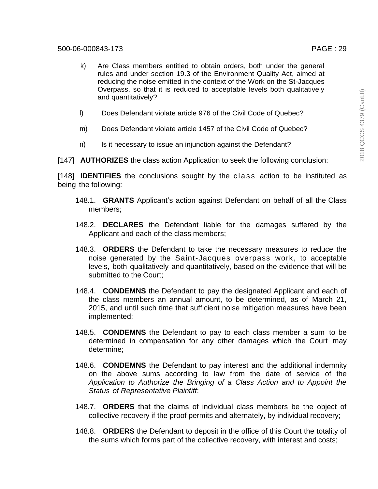- k) Are Class members entitled to obtain orders, both under the general rules and under section 19.3 of the Environment Quality Act, aimed at reducing the noise emitted in the context of the Work on the St-Jacques Overpass, so that it is reduced to acceptable levels both qualitatively and quantitatively?
- l) Does Defendant violate article 976 of the Civil Code of Quebec?
- m) Does Defendant violate article 1457 of the Civil Code of Quebec?
- n) Is it necessary to issue an injunction against the Defendant?

[147] **AUTHORIZES** the class action Application to seek the following conclusion:

[148] **IDENTIFIES** the conclusions sought by the class action to be instituted as being the following:

- 148.1. **GRANTS** Applicant's action against Defendant on behalf of all the Class members;
- 148.2. **DECLARES** the Defendant liable for the damages suffered by the Applicant and each of the class members;
- 148.3. **ORDERS** the Defendant to take the necessary measures to reduce the noise generated by the Saint-Jacques overpass work, to acceptable levels, both qualitatively and quantitatively, based on the evidence that will be submitted to the Court;
- 148.4. **CONDEMNS** the Defendant to pay the designated Applicant and each of the class members an annual amount, to be determined, as of March 21, 2015, and until such time that sufficient noise mitigation measures have been implemented;
- 148.5. **CONDEMNS** the Defendant to pay to each class member a sum to be determined in compensation for any other damages which the Court may determine;
- 148.6. **CONDEMNS** the Defendant to pay interest and the additional indemnity on the above sums according to law from the date of service of the *Application to Authorize the Bringing of a Class Action and to Appoint the Status of Representative Plaintiff*;
- 148.7. **ORDERS** that the claims of individual class members be the object of collective recovery if the proof permits and alternately, by individual recovery;
- 148.8. **ORDERS** the Defendant to deposit in the office of this Court the totality of the sums which forms part of the collective recovery, with interest and costs;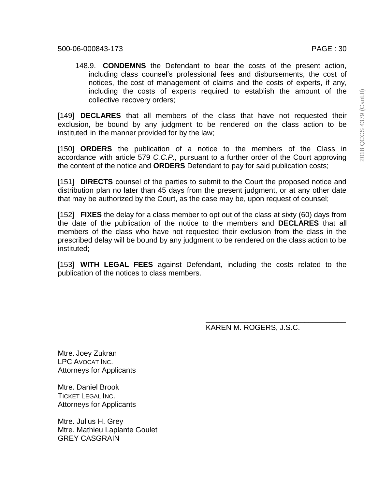148.9. **CONDEMNS** the Defendant to bear the costs of the present action, including class counsel's professional fees and disbursements, the cost of notices, the cost of management of claims and the costs of experts, if any, including the costs of experts required to establish the amount of the collective recovery orders;

[149] **DECLARES** that all members of the class that have not requested their exclusion, be bound by any judgment to be rendered on the class action to be instituted in the manner provided for by the law;

[150] **ORDERS** the publication of a notice to the members of the Class in accordance with article 579 *C.C.P.,* pursuant to a further order of the Court approving the content of the notice and **ORDERS** Defendant to pay for said publication costs;

[151] **DIRECTS** counsel of the parties to submit to the Court the proposed notice and distribution plan no later than 45 days from the present judgment, or at any other date that may be authorized by the Court, as the case may be, upon request of counsel;

[152] **FIXES** the delay for a class member to opt out of the class at sixty (60) days from the date of the publication of the notice to the members and **DECLARES** that all members of the class who have not requested their exclusion from the class in the prescribed delay will be bound by any judgment to be rendered on the class action to be instituted;

[153] **WITH LEGAL FEES** against Defendant, including the costs related to the publication of the notices to class members.

KAREN M. ROGERS, J.S.C.

\_\_\_\_\_\_\_\_\_\_\_\_\_\_\_\_\_\_\_\_\_\_\_\_\_\_\_\_\_\_\_\_\_\_

Mtre. Joey Zukran LPC AVOCAT INC. Attorneys for Applicants

Mtre. Daniel Brook TICKET LEGAL INC. Attorneys for Applicants

Mtre. Julius H. Grey Mtre. Mathieu Laplante Goulet GREY CASGRAIN